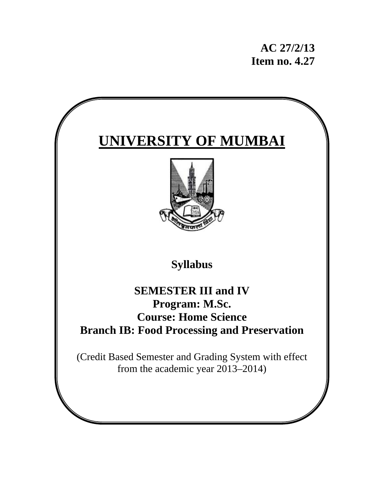**AC 27/2/13 Item no. 4.27** 

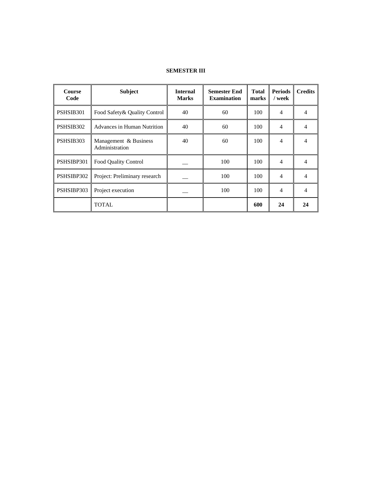# **SEMESTER III**

| <b>Course</b><br>Code | <b>Subject</b>                          | <b>Internal</b><br><b>Marks</b> | <b>Semester End</b><br><b>Examination</b> | <b>Total</b><br>marks | <b>Periods</b><br>/ week | <b>Credits</b> |
|-----------------------|-----------------------------------------|---------------------------------|-------------------------------------------|-----------------------|--------------------------|----------------|
| PSHSIB301             | Food Safety & Quality Control           | 40                              | 60                                        | 100                   | $\overline{4}$           |                |
| PSHSIB302             | <b>Advances in Human Nutrition</b>      | 40                              | 60                                        | 100                   | $\overline{4}$           |                |
| PSHSIB303             | Management & Business<br>Administration | 40                              | 60                                        | 100                   | 4                        |                |
| PSHSIBP301            | <b>Food Quality Control</b>             |                                 | 100                                       | 100                   | 4                        |                |
| PSHSIBP302            | Project: Preliminary research           |                                 | 100                                       | 100                   | 4                        |                |
| PSHSIBP303            | Project execution                       |                                 | 100                                       | 100                   | $\overline{4}$           | 4              |
|                       | <b>TOTAL</b>                            |                                 |                                           | 600                   | 24                       | 24             |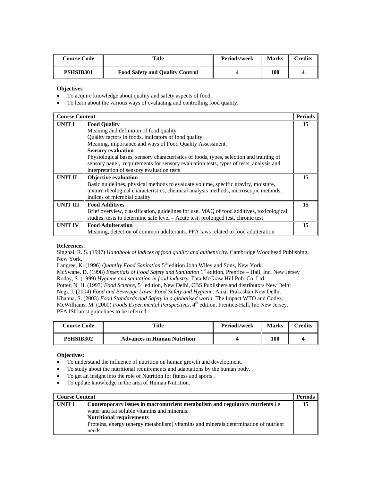| <b>Course Code</b> | Title                                  | Periods/week | <b>Marks</b> | <b>Credits</b> |
|--------------------|----------------------------------------|--------------|--------------|----------------|
| PSHSIB301          | <b>Food Safety and Quality Control</b> |              | 100          |                |

# **Objectives**

- To acquire knowledge about quality and safety aspects of food.
- To learn about the various ways of evaluating and controlling food quality.

| <b>Course Content</b> |                                                                                          | <b>Periods</b> |
|-----------------------|------------------------------------------------------------------------------------------|----------------|
| <b>UNIT I</b>         | <b>Food Quality</b>                                                                      | 15             |
|                       | Meaning and definition of food quality                                                   |                |
|                       | Quality factors in foods, indicators of food quality.                                    |                |
|                       | Meaning, importance and ways of Food Quality Assessment.                                 |                |
|                       | <b>Sensory evaluation</b>                                                                |                |
|                       | Physiological bases, sensory characteristics of foods, types, selection and training of  |                |
|                       | sensory panel, requirements for sensory evaluation tests, types of tests, analysis and   |                |
|                       | interpretation of sensory evaluation tests                                               |                |
| UNIT II               | <b>Objective evaluation</b>                                                              | 15             |
|                       | Basic guidelines, physical methods to evaluate volume, specific gravity, moisture,       |                |
|                       | texture rheological characteristics, chemical analysis methods, microscopic methods,     |                |
|                       | indices of microbial quality                                                             |                |
| <b>UNIT III</b>       | <b>Food Additives</b>                                                                    | 15             |
|                       | Brief overview, classification, guidelines for use, MAQ of food additives, toxicological |                |
|                       | studies, tests to determine safe level – Acute test, prolonged test, chronic test        |                |
| UNIT IV               | <b>Food Adulteration</b>                                                                 | 15             |
|                       | Meaning, detection of common adulterants. PFA laws related to food adulteration          |                |

### **Reference**s:

Singhal, R. S. (1997) *Handbook of indices of food quality and authenticity*. Cambridge Woodhead Publishing, New York.

Langree, K. (1996) *Quantity Food Sanitation* 5<sup>th</sup> edition John Wiley and Sons, New York.

McSwane, D. (1998) *Essentials of Food Safety and Sanitation* 1st edition, Prentice – Hall, Inc, New Jersey Roday, S. (1999) *Hygiene and sanitation in food industry*, Tata McGraw Hill Pub. Co. Ltd.

Potter, N. H. (1997*) Food Science*, 5<sup>th</sup> edition, New Delhi, CBS Publishers and distributors New Delhi

Negi, J. (2004) *Food and Beverage Laws: Food Safety and Hygiene*, Amar Prakashan New Delhi.

Khanna, S. (2003) *Food Standards and Safety in a globalised world*. The Impact WTO and Codex.

McWilliams, M. (2000) *Foods Experimental Perspectives*, 4<sup>th</sup> edition, Prentice-Hall, Inc New Jersey. PFA ISI latest guidelines to be referred.

| <b>Course Code</b> | Title                              | Periods/week | <b>Marks</b> | <b>Credits</b> |
|--------------------|------------------------------------|--------------|--------------|----------------|
| PSHSIB302          | <b>Advances in Human Nutrition</b> |              | 100          |                |

#### **Objectives:**

- To understand the influence of nutrition on human growth and development.
- To study about the nutritional requirements and adaptations by the human body.
- To get an insight into the role of Nutrition for fitness and sports.
- To update knowledge in the area of Human Nutrition.

| <b>Course Content</b> |                                                                                                                               | <b>Periods</b> |
|-----------------------|-------------------------------------------------------------------------------------------------------------------------------|----------------|
| UNIT I                | Contemporary issues in macronutrient metabolism and regulatory nutrients i.e.<br>water and fat soluble vitamins and minerals. |                |
|                       | <b>Nutritional requirements</b>                                                                                               |                |
|                       | Proteins, energy (energy metabolism) vitamins and minerals determination of nutrient<br>needs                                 |                |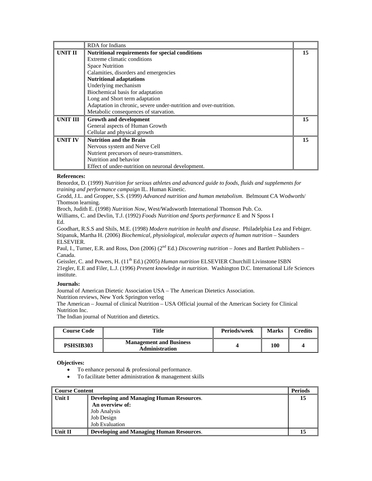|                 | <b>RDA</b> for Indians                                            |    |
|-----------------|-------------------------------------------------------------------|----|
| <b>UNIT II</b>  | <b>Nutritional requirements for special conditions</b>            | 15 |
|                 | Extreme climatic conditions                                       |    |
|                 | <b>Space Nutrition</b>                                            |    |
|                 | Calamities, disorders and emergencies                             |    |
|                 | <b>Nutritional adaptations</b>                                    |    |
|                 | Underlying mechanism                                              |    |
|                 | Biochemical basis for adaptation                                  |    |
|                 | Long and Short term adaptation                                    |    |
|                 | Adaptation in chronic, severe under-nutrition and over-nutrition. |    |
|                 | Metabolic consequences of starvation.                             |    |
| <b>UNIT III</b> | <b>Growth and development</b>                                     | 15 |
|                 | General aspects of Human Growth                                   |    |
|                 | Cellular and physical growth                                      |    |
| <b>UNIT IV</b>  | <b>Nutrition and the Brain</b>                                    | 15 |
|                 | Nervous system and Nerve Cell                                     |    |
|                 | Nutrient precursors of neuro-transmitters.                        |    |
|                 | Nutrition and behavior                                            |    |
|                 | Effect of under-nutrition on neuronal development.                |    |

# **References:**

Benordot, D. (1999) *Nutrition for serious athletes and advanced guide to foods, fluids and supplements for training and performance campaign* IL. Human Kinetic.

Grodd, J.L. and Gropper, S.S. (1999) *Advanced nutrition and human metabolism*. Belmount CA Wodworth/ Thomson learning.

Broch, Judith E. (1998) *Nutrition Now*, West/Wadsworth International Thomson Pub. Co.

Williams, C. and Devlin, T.J. (1992) *Foods Nutrition and Sports performance* E and N Sposs I Ed.

Goodhart, R.S.S and Shils, M.E. (1998) *Modern nutrition in health and disease*. Philadelphia Lea and Febiger. Stipanuk, Martha H. (2006) *Biochemical, physiological, molecular aspects of human nutrition* – Saunders ELSEVIER.

Paul, I., Turner, E.R. and Ross, Don (2006) (2nd Ed.) *Discovering nutrition* – Jones and Bartlett Publishers – Canada.

Geissler, C. and Powers, H. (11th Ed.) (2005) *Human nutrition* ELSEVIER Churchill Livinstone ISBN 21egler, E.E and Filer, L.J. (1996) *Present knowledge in nutrition*. Washington D.C. International Life Sciences institute.

# **Journals:**

Journal of American Dietetic Association USA – The American Dietetics Association.

Nutrition reviews, New York Springton verlog

The American – Journal of clinical Nutrition – USA Official journal of the American Society for Clinical Nutrition Inc.

The Indian journal of Nutrition and dietetics.

| <b>Course Code</b> | Title                                                   | Periods/week | <b>Marks</b> | $T$ redits |
|--------------------|---------------------------------------------------------|--------------|--------------|------------|
| <b>PSHSIB303</b>   | <b>Management and Business</b><br><b>Administration</b> |              | 100          |            |

# **Objectives:**

- To enhance personal & professional performance.
- To facilitate better administration & management skills

| <b>Course Content</b> |                                                 | <b>Periods</b> |
|-----------------------|-------------------------------------------------|----------------|
| Unit I                | <b>Developing and Managing Human Resources.</b> | 15             |
|                       | An overview of:                                 |                |
|                       | Job Analysis                                    |                |
|                       | Job Design                                      |                |
|                       | <b>Job Evaluation</b>                           |                |
| Unit II               | <b>Developing and Managing Human Resources.</b> | 15             |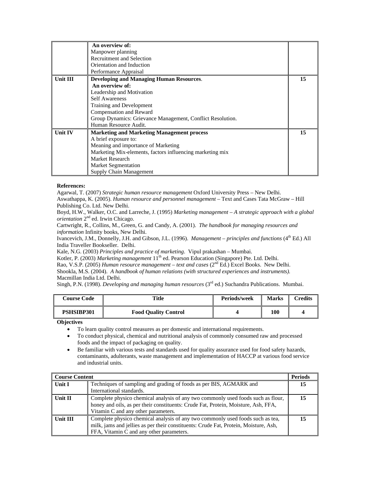|                | An overview of:                                            |    |
|----------------|------------------------------------------------------------|----|
|                | Manpower planning                                          |    |
|                | Recruitment and Selection                                  |    |
|                | Orientation and Induction                                  |    |
|                | Performance Appraisal                                      |    |
| Unit III       | <b>Developing and Managing Human Resources.</b>            | 15 |
|                | An overview of:                                            |    |
|                | Leadership and Motivation                                  |    |
|                | <b>Self Awareness</b>                                      |    |
|                | Training and Development                                   |    |
|                | Compensation and Reward                                    |    |
|                | Group Dynamics: Grievance Management, Conflict Resolution. |    |
|                | Human Resource Audit.                                      |    |
| <b>Unit IV</b> | <b>Marketing and Marketing Management process</b>          | 15 |
|                | A brief exposure to:                                       |    |
|                | Meaning and importance of Marketing                        |    |
|                | Marketing Mix-elements, factors influencing marketing mix  |    |
|                | Market Research                                            |    |
|                | <b>Market Segmentation</b>                                 |    |
|                | Supply Chain Management                                    |    |

# **References:**

Agarwal, T. (2007) *Strategic human resource management* Oxford University Press – New Delhi.

Aswathappa, K. (2005). *Human resource and personnel management* – Text and Cases Tata McGraw – Hill Publishing Co. Ltd. New Delhi.

Boyd, H.W., Walker, O.C. and Larreche, J. (1995) *Marketing management – A strategic approach with a global orientation* 2nd ed. Irwin Chicago.

Cartwright, R., Collins, M., Green, G. and Candy, A. (2001). *The handbook for managing resources and information* Infinity books, New Delhi.

Ivancevich, J.M., Donnelly, J.H. and Gibson, J.L. (1996). *Management – principles and functions* (4th Ed.) All India Traveller Bookseller. Delhi.

Kale, N.G. (2003) *Principles and practice of marketing*. Vipul prakashan – Mumbai.

Kotler, P. (2003) *Marketing management* 11<sup>th</sup> ed. Pearson Education (Singapore) Pte. Ltd. Delhi. Rao, V.S.P. (2005) *Human resource management – text and cases* (2nd Ed.) Excel Books. New Delhi. Shookla, M.S. (2004). *A handbook of human relations (with structured experiences and instruments).*  Macmillan India Ltd. Delhi.

Singh, P.N. (1998). *Developing and managing human resources* (3rd ed.) Suchandra Publications. Mumbai.

| <b>Course Code</b> | Title                       | Periods/week | <b>Marks</b> | $C$ redits |
|--------------------|-----------------------------|--------------|--------------|------------|
| PSHSIBP301         | <b>Food Quality Control</b> |              | 100          |            |

**Objectives**

• To learn quality control measures as per domestic and international requirements.

- To conduct physical, chemical and nutritional analysis of commonly consumed raw and processed foods and the impact of packaging on quality.
- Be familiar with various tests and standards used for quality assurance used for food safety hazards, contaminants, adulterants, waste management and implementation of HACCP at various food service and industrial units.

| <b>Course Content</b> |                                                                                                                                                                                                                    | <b>Periods</b> |
|-----------------------|--------------------------------------------------------------------------------------------------------------------------------------------------------------------------------------------------------------------|----------------|
| Unit I                | Techniques of sampling and grading of foods as per BIS, AGMARK and<br>International standards.                                                                                                                     | 15             |
| Unit II               | Complete physico chemical analysis of any two commonly used foods such as flour,<br>honey and oils, as per their constituents: Crude Fat, Protein, Moisture, Ash, FFA,<br>Vitamin C and any other parameters.      | 15             |
| <b>Unit III</b>       | Complete physico chemical analysis of any two commonly used foods such as tea,<br>milk, jams and jellies as per their constituents: Crude Fat, Protein, Moisture, Ash,<br>FFA, Vitamin C and any other parameters. | 15             |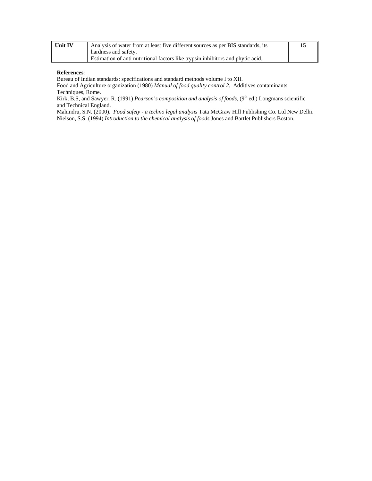| Unit IV | Analysis of water from at least five different sources as per BIS standards, its       |  |
|---------|----------------------------------------------------------------------------------------|--|
|         | hardness and safety.                                                                   |  |
|         | <b>Estimation of anti nutritional factors like trypsin inhibitors and phytic acid.</b> |  |

### **References**:

Bureau of Indian standards: specifications and standard methods volume I to XII.

Food and Agriculture organization (1980) *Manual of food quality control 2.* Additives contaminants Techniques, Rome.

Kirk, B.S, and Sawyer, R. (1991) *Pearson's composition and analysis of foods*, (9<sup>th</sup> ed.) Longmans scientific and Technical England.

Mahindru, S.N. (2000). *Food safety - a techno legal analysis* Tata McGraw Hill Publishing Co. Ltd New Delhi. Nielson, S.S. (1994) *Introduction to the chemical analysis of foods* Jones and Bartlet Publishers Boston.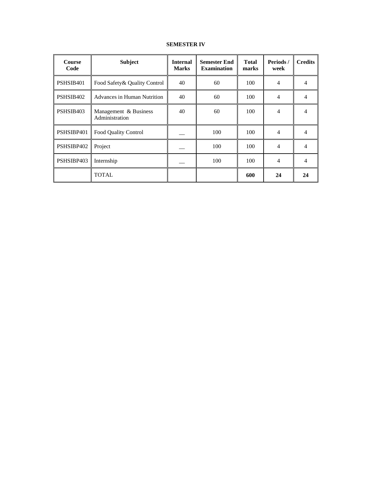# **SEMESTER IV**

| <b>Course</b><br>Code | <b>Subject</b>                          | <b>Internal</b><br><b>Marks</b> | <b>Semester End</b><br><b>Examination</b> | <b>Total</b><br>marks | Periods/<br>week | <b>Credits</b> |
|-----------------------|-----------------------------------------|---------------------------------|-------------------------------------------|-----------------------|------------------|----------------|
| PSHSIB401             | Food Safety & Quality Control           | 40                              | 60                                        | 100                   | 4                |                |
| PSHSIB402             | Advances in Human Nutrition             | 40                              | 60                                        | 100                   | 4                | 4              |
| PSHSIB403             | Management & Business<br>Administration | 40                              | 60                                        | 100                   | $\overline{4}$   | 4              |
| PSHSIBP401            | Food Quality Control                    |                                 | 100                                       | 100                   | 4                | 4              |
| PSHSIBP402            | Project                                 |                                 | 100                                       | 100                   | 4                | 4              |
| PSHSIBP403            | Internship                              |                                 | 100                                       | 100                   | 4                | 4              |
|                       | <b>TOTAL</b>                            |                                 |                                           | 600                   | 24               | 24             |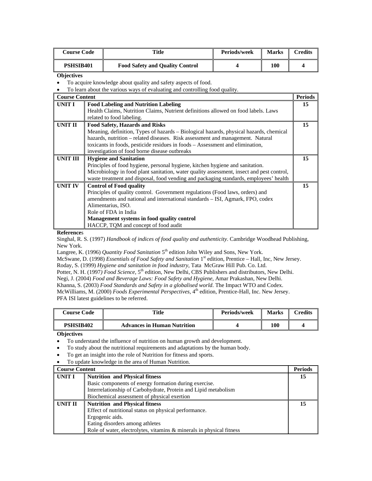| <b>Course Code</b>    |                                                                                        | <b>Title</b>                                                                              | Periods/week | <b>Marks</b> | <b>Credits</b> |
|-----------------------|----------------------------------------------------------------------------------------|-------------------------------------------------------------------------------------------|--------------|--------------|----------------|
|                       | PSHSIB401<br><b>Food Safety and Quality Control</b><br>100<br>4                        |                                                                                           | 4            |              |                |
| <b>Objectives</b>     |                                                                                        |                                                                                           |              |              |                |
|                       |                                                                                        | To acquire knowledge about quality and safety aspects of food.                            |              |              |                |
|                       |                                                                                        | To learn about the various ways of evaluating and controlling food quality.               |              |              |                |
| <b>Course Content</b> |                                                                                        |                                                                                           |              |              | <b>Periods</b> |
| <b>UNIT I</b>         |                                                                                        | <b>Food Labeling and Nutrition Labeling</b>                                               |              |              | 15             |
|                       |                                                                                        | Health Claims, Nutrition Claims, Nutrient definitions allowed on food labels. Laws        |              |              |                |
|                       |                                                                                        | related to food labeling.                                                                 |              |              |                |
| <b>UNIT II</b>        | <b>Food Safety, Hazards and Risks</b>                                                  |                                                                                           |              | 15           |                |
|                       | Meaning, definition, Types of hazards - Biological hazards, physical hazards, chemical |                                                                                           |              |              |                |
|                       | hazards, nutrition - related diseases. Risk assessment and management. Natural         |                                                                                           |              |              |                |
|                       | toxicants in foods, pesticide residues in foods - Assessment and elimination,          |                                                                                           |              |              |                |
|                       | investigation of food borne disease outbreaks                                          |                                                                                           |              |              |                |
| <b>UNIT III</b>       | <b>Hygiene and Sanitation</b>                                                          |                                                                                           |              | 15           |                |
|                       |                                                                                        | Principles of food hygiene, personal hygiene, kitchen hygiene and sanitation.             |              |              |                |
|                       |                                                                                        | Microbiology in food plant sanitation, water quality assessment, insect and pest control, |              |              |                |
|                       |                                                                                        | waste treatment and disposal, food vending and packaging standards, employees' health     |              |              |                |
| <b>UNIT IV</b>        | <b>Control of Food quality</b>                                                         |                                                                                           |              | 15           |                |
|                       | Principles of quality control. Government regulations (Food laws, orders) and          |                                                                                           |              |              |                |
|                       | amendments and national and international standards - ISI, Agmark, FPO, codex          |                                                                                           |              |              |                |
|                       | Alimentarius, ISO.                                                                     |                                                                                           |              |              |                |
|                       |                                                                                        | Role of FDA in India                                                                      |              |              |                |
|                       |                                                                                        | Management systems in food quality control                                                |              |              |                |
|                       | HACCP, TQM and concept of food audit                                                   |                                                                                           |              |              |                |

**Reference**s

Singhal, R. S. (1997) *Handbook of indices of food quality and authenticity*. Cambridge Woodhead Publishing, New York.

Langree, K. (1996) *Quantity Food Sanitation* 5<sup>th</sup> edition John Wiley and Sons, New York.

McSwane, D. (1998) *Essentials of Food Safety and Sanitation* 1st edition, Prentice – Hall, Inc, New Jersey.

Roday, S. (1999) *Hygiene and sanitation in food industry*, Tata McGraw Hill Pub. Co. Ltd.

Potter, N. H. (1997) Food Science, 5<sup>th</sup> edition, New Delhi, CBS Publishers and distributors, New Delhi.

Negi, J. (2004) *Food and Beverage Laws: Food Safety and Hygiene*, Amar Prakashan, New Delhi.

Khanna, S. (2003) *Food Standards and Safety in a globalised world*. The Impact WTO and Codex.

McWilliams, M. (2000) *Foods Experimental Perspectives*, 4th edition, Prentice-Hall, Inc. New Jersey. PFA ISI latest guidelines to be referred.

| <b>Course Code</b> | Title                              | Periods/week | <b>Marks</b> | $\gamma$ redits |
|--------------------|------------------------------------|--------------|--------------|-----------------|
| <b>PSHSIB402</b>   | <b>Advances in Human Nutrition</b> |              | 100          |                 |

**Objectives** 

• To understand the influence of nutrition on human growth and development.

• To study about the nutritional requirements and adaptations by the human body.

- To get an insight into the role of Nutrition for fitness and sports.
- To update knowledge in the area of Human Nutrition.

| <b>Course Content</b> |                                                                      | <b>Periods</b> |
|-----------------------|----------------------------------------------------------------------|----------------|
| <b>UNIT I</b>         | <b>Nutrition and Physical fitness</b>                                | 15             |
|                       | Basic components of energy formation during exercise.                |                |
|                       | Interrelationship of Carbohydrate, Protein and Lipid metabolism      |                |
|                       | Biochemical assessment of physical exertion                          |                |
| <b>UNIT II</b>        | <b>Nutrition and Physical fitness</b>                                | 15             |
|                       | Effect of nutritional status on physical performance.                |                |
|                       | Ergogenic aids.                                                      |                |
|                       | Eating disorders among athletes                                      |                |
|                       | Role of water, electrolytes, vitamins & minerals in physical fitness |                |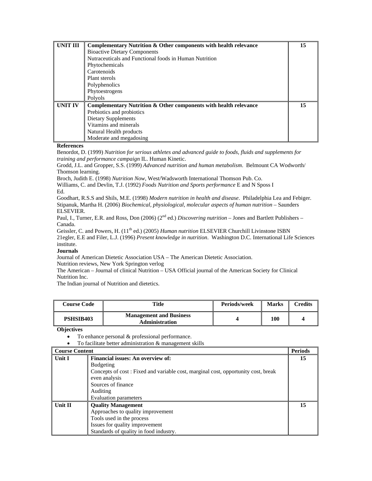| <b>UNIT III</b> | Complementary Nutrition & Other components with health relevance | 15 |
|-----------------|------------------------------------------------------------------|----|
|                 | <b>Bioactive Dietary Components</b>                              |    |
|                 | Nutraceuticals and Functional foods in Human Nutrition           |    |
|                 | Phytochemicals                                                   |    |
|                 | Carotenoids                                                      |    |
|                 | Plant sterols                                                    |    |
|                 | Polyphenolics                                                    |    |
|                 | Phytoestrogens                                                   |    |
|                 | Polyols                                                          |    |
| <b>UNIT IV</b>  | Complementary Nutrition & Other components with health relevance | 15 |
|                 | Prebiotics and probiotics                                        |    |
|                 | <b>Dietary Supplements</b>                                       |    |
|                 | Vitamins and minerals                                            |    |
|                 | Natural Health products                                          |    |
|                 | Moderate and megadosing                                          |    |

**References** 

Benordot, D. (1999) *Nutrition for serious athletes and advanced guide to foods, fluids and supplements for training and performance campaign* IL. Human Kinetic.

Grodd, J.L. and Gropper, S.S. (1999) *Advanced nutrition and human metabolism*. Belmount CA Wodworth/ Thomson learning.

Broch, Judith E. (1998) *Nutrition Now*, West/Wadsworth International Thomson Pub. Co.

Williams, C. and Devlin, T.J. (1992) *Foods Nutrition and Sports performance* E and N Sposs I Ed.

Goodhart, R.S.S and Shils, M.E. (1998) *Modern nutrition in health and disease*. Philadelphia Lea and Febiger. Stipanuk, Martha H. (2006) *Biochemical, physiological, molecular aspects of human nutrition* – Saunders ELSEVIER.

Paul, I., Turner, E.R. and Ross, Don (2006) (2<sup>nd</sup> ed.) *Discovering nutrition* – Jones and Bartlett Publishers – Canada.

Geissler, C. and Powers, H. (11<sup>th</sup> ed.) (2005) *Human nutrition* ELSEVIER Churchill Livinstone ISBN 21egler, E.E and Filer, L.J. (1996) *Present knowledge in nutrition*. Washington D.C. International Life Sciences institute.

# **Journals**

Journal of American Dietetic Association USA – The American Dietetic Association. Nutrition reviews, New York Springton verlog

The American – Journal of clinical Nutrition – USA Official journal of the American Society for Clinical Nutrition Inc.

The Indian journal of Nutrition and dietetics.

| Course Code | Title                                                   | <b>Periods/week</b> | <b>Marks</b> | Credits |
|-------------|---------------------------------------------------------|---------------------|--------------|---------|
| PSHSIB403   | <b>Management and Business</b><br><b>Administration</b> |                     | 100          |         |

**Objectives** 

To enhance personal & professional performance.

• To facilitate better administration & management skills

| <b>Course Content</b> |                                                                                   | <b>Periods</b> |
|-----------------------|-----------------------------------------------------------------------------------|----------------|
| Unit I                | <b>Financial issues: An overview of:</b>                                          | 15             |
|                       | <b>Budgeting</b>                                                                  |                |
|                       | Concepts of cost: Fixed and variable cost, marginal cost, opportunity cost, break |                |
|                       | even analysis                                                                     |                |
|                       | Sources of finance                                                                |                |
|                       | Auditing                                                                          |                |
|                       | Evaluation parameters                                                             |                |
| Unit II               | <b>Quality Management</b>                                                         | 15             |
|                       | Approaches to quality improvement                                                 |                |
|                       | Tools used in the process                                                         |                |
|                       | Issues for quality improvement                                                    |                |
|                       | Standards of quality in food industry.                                            |                |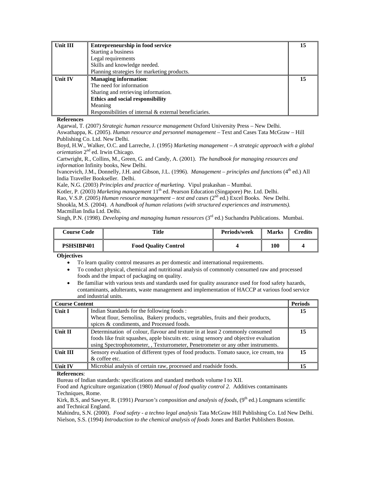| Unit III | <b>Entrepreneurship in food service</b>                | 15 |
|----------|--------------------------------------------------------|----|
|          | Starting a business                                    |    |
|          | Legal requirements                                     |    |
|          | Skills and knowledge needed.                           |    |
|          | Planning strategies for marketing products.            |    |
| Unit IV  | <b>Managing information:</b>                           | 15 |
|          | The need for information                               |    |
|          | Sharing and retrieving information.                    |    |
|          | Ethics and social responsibility                       |    |
|          | Meaning                                                |    |
|          | Responsibilities of internal & external beneficiaries. |    |

### **References**

Agarwal, T. (2007) *Strategic human resource management* Oxford University Press – New Delhi.

Aswathappa, K. (2005). *Human resource and personnel management* – Text and Cases Tata McGraw – Hill Publishing Co. Ltd. New Delhi.

Boyd, H.W., Walker, O.C. and Larreche, J. (1995) *Marketing management – A strategic approach with a global orientation* 2nd ed. Irwin Chicago.

Cartwright, R., Collins, M., Green, G. and Candy, A. (2001). *The handbook for managing resources and information* Infinity books, New Delhi.

Ivancevich, J.M., Donnelly, J.H. and Gibson, J.L. (1996). *Management – principles and functions* (4<sup>th</sup> ed.) All India Traveller Bookseller. Delhi.

Kale, N.G. (2003) *Principles and practice of marketing*. Vipul prakashan – Mumbai.

Kotler, P. (2003) *Marketing management* 11<sup>th</sup> ed. Pearson Education (Singapore) Pte. Ltd. Delhi.

Rao, V.S.P. (2005) *Human resource management* – text and cases (2<sup>nd</sup> ed.) Excel Books. New Delhi.

Shookla, M.S. (2004). *A handbook of human relations (with structured experiences and instruments).*  Macmillan India Ltd. Delhi.

Singh, P.N. (1998). *Developing and managing human resources* (3rd ed.) Suchandra Publications. Mumbai.

| <b>Course Code</b> | Title                       | Periods/week | <b>Marks</b> | Credits |
|--------------------|-----------------------------|--------------|--------------|---------|
| PSHSIBP401         | <b>Food Quality Control</b> |              | 100          |         |

**Objectives**

- To learn quality control measures as per domestic and international requirements.
- To conduct physical, chemical and nutritional analysis of commonly consumed raw and processed foods and the impact of packaging on quality.
- Be familiar with various tests and standards used for quality assurance used for food safety hazards, contaminants, adulterants, waste management and implementation of HACCP at various food service and industrial units.

| <b>Course Content</b> |                                                                                       | <b>Periods</b> |
|-----------------------|---------------------------------------------------------------------------------------|----------------|
| Unit I                | Indian Standards for the following foods:                                             | 15             |
|                       | Wheat flour, Semolina, Bakery products, vegetables, fruits and their products,        |                |
|                       | spices & condiments, and Processed foods.                                             |                |
| Unit II               | Determination of colour, flavour and texture in at least 2 commonly consumed          | 15             |
|                       | foods like fruit squashes, apple biscuits etc. using sensory and objective evaluation |                |
|                       | using Spectrophotometer, Texturrometer, Penetrometer or any other instruments.        |                |
| <b>Unit III</b>       | Sensory evaluation of different types of food products. Tomato sauce, ice cream, tea  | 15             |
|                       | & coffee etc.                                                                         |                |
| <b>Unit IV</b>        | Microbial analysis of certain raw, processed and roadside foods.                      | 15             |

#### **References**:

Bureau of Indian standards: specifications and standard methods volume I to XII.

Food and Agriculture organization (1980) *Manual of food quality control 2.* Additives contaminants Techniques, Rome.

Kirk, B.S. and Sawyer, R. (1991) *Pearson's composition and analysis of foods*, (9<sup>th</sup> ed.) Longmans scientific and Technical England.

Mahindru, S.N. (2000). *Food safety - a techno legal analysis* Tata McGraw Hill Publishing Co. Ltd New Delhi. Nielson, S.S. (1994) *Introduction to the chemical analysis of foods* Jones and Bartlet Publishers Boston.